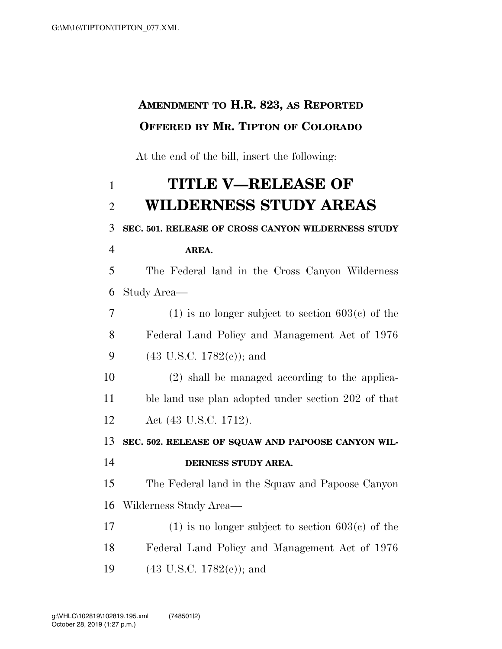## **AMENDMENT TO H.R. 823, AS REPORTED OFFERED BY MR. TIPTON OF COLORADO**

At the end of the bill, insert the following:

## **TITLE V—RELEASE OF WILDERNESS STUDY AREAS SEC. 501. RELEASE OF CROSS CANYON WILDERNESS STUDY AREA.**  The Federal land in the Cross Canyon Wilderness Study Area— 7 (1) is no longer subject to section  $603(e)$  of the Federal Land Policy and Management Act of 1976 (43 U.S.C. 1782(c)); and (2) shall be managed according to the applica- ble land use plan adopted under section 202 of that Act (43 U.S.C. 1712). **SEC. 502. RELEASE OF SQUAW AND PAPOOSE CANYON WIL- DERNESS STUDY AREA.**  The Federal land in the Squaw and Papoose Canyon Wilderness Study Area— 17 (1) is no longer subject to section  $603(c)$  of the Federal Land Policy and Management Act of 1976 19 (43 U.S.C. 1782(e)); and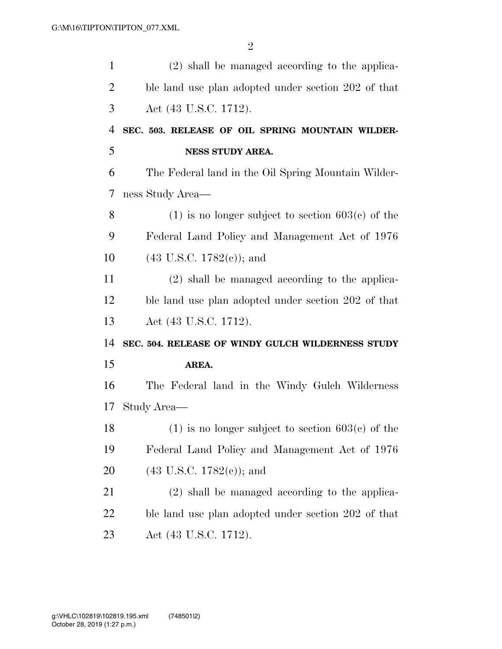| $\mathbf{1}$   | (2) shall be managed according to the applica-      |
|----------------|-----------------------------------------------------|
| $\overline{2}$ | ble land use plan adopted under section 202 of that |
| 3              | Act (43 U.S.C. 1712).                               |
| $\overline{4}$ | SEC. 503. RELEASE OF OIL SPRING MOUNTAIN WILDER-    |
| 5              | <b>NESS STUDY AREA.</b>                             |
| 6              | The Federal land in the Oil Spring Mountain Wilder- |
| 7              | ness Study Area—                                    |
| 8              | $(1)$ is no longer subject to section 603(c) of the |
| 9              | Federal Land Policy and Management Act of 1976      |
| 10             | $(43 \text{ U.S.C. } 1782(e))$ ; and                |
| 11             | (2) shall be managed according to the applica-      |
| 12             | ble land use plan adopted under section 202 of that |
| 13             | Act (43 U.S.C. 1712).                               |
| 14             | SEC. 504. RELEASE OF WINDY GULCH WILDERNESS STUDY   |
| 15             | AREA.                                               |
| 16             | The Federal land in the Windy Gulch Wilderness      |
| 17             | Study Area—                                         |
| 18             | $(1)$ is no longer subject to section 603(c) of the |
| 19             | Federal Land Policy and Management Act of 1976      |
| 20             | $(43 \text{ U.S.C. } 1782(c))$ ; and                |
| 21             | (2) shall be managed according to the applica-      |
| 22             | ble land use plan adopted under section 202 of that |
| 23             | Act (43 U.S.C. 1712).                               |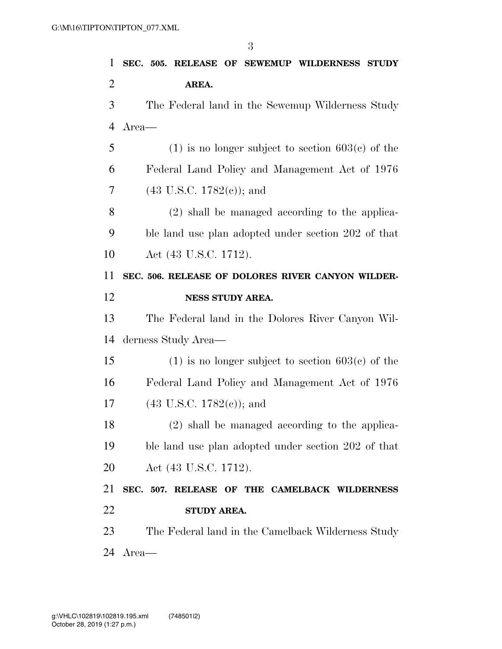| 1              | SEC. 505. RELEASE OF SEWEMUP WILDERNESS STUDY          |
|----------------|--------------------------------------------------------|
| $\overline{2}$ | AREA.                                                  |
| 3              | The Federal land in the Sewemup Wilderness Study       |
| 4              | Area—                                                  |
| 5              | $(1)$ is no longer subject to section 603(c) of the    |
| 6              | Federal Land Policy and Management Act of 1976         |
| 7              | $(43 \text{ U.S.C. } 1782(c))$ ; and                   |
| 8              | (2) shall be managed according to the applica-         |
| 9              | ble land use plan adopted under section 202 of that    |
| 10             | Act (43 U.S.C. 1712).                                  |
| 11             | SEC. 506. RELEASE OF DOLORES RIVER CANYON WILDER-      |
| 12             | NESS STUDY AREA.                                       |
| 13             | The Federal land in the Dolores River Canyon Wil-      |
| 14             | derness Study Area—                                    |
| 15             | $(1)$ is no longer subject to section 603 $(c)$ of the |
| 16             | Federal Land Policy and Management Act of 1976         |
| 17             | $(43 \text{ U.S.C. } 1782(c))$ ; and                   |
| 18             | $(2)$ shall be managed according to the applica-       |
| 19             | ble land use plan adopted under section 202 of that    |
| 20             | Act (43 U.S.C. 1712).                                  |
| 21             | SEC. 507. RELEASE OF THE CAMELBACK WILDERNESS          |
| 22             | STUDY AREA.                                            |
| 23             | The Federal land in the Camelback Wilderness Study     |
| 24             | Area—                                                  |